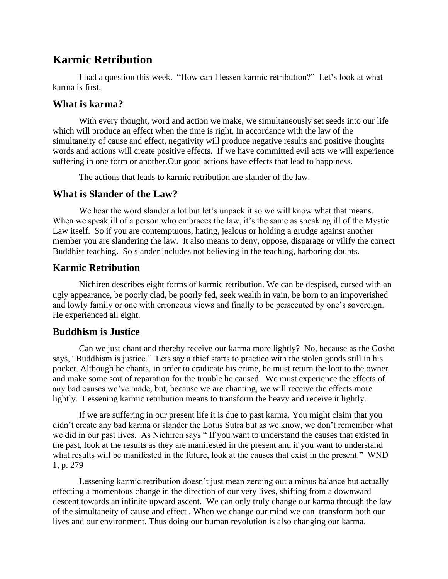# **Karmic Retribution**

I had a question this week. "How can I lessen karmic retribution?" Let's look at what karma is first.

# **What is karma?**

With every thought, word and action we make, we simultaneously set seeds into our life which will produce an effect when the time is right. In accordance with the law of the simultaneity of cause and effect, negativity will produce negative results and positive thoughts words and actions will create positive effects. If we have committed evil acts we will experience suffering in one form or another.Our good actions have effects that lead to happiness.

The actions that leads to karmic retribution are slander of the law.

#### **What is Slander of the Law?**

We hear the word slander a lot but let's unpack it so we will know what that means. When we speak ill of a person who embraces the law, it's the same as speaking ill of the Mystic Law itself. So if you are contemptuous, hating, jealous or holding a grudge against another member you are slandering the law. It also means to deny, oppose, disparage or vilify the correct Buddhist teaching. So slander includes not believing in the teaching, harboring doubts.

# **Karmic Retribution**

Nichiren describes eight forms of karmic retribution. We can be despised, cursed with an ugly appearance, be poorly clad, be poorly fed, seek wealth in vain, be born to an impoverished and lowly family or one with erroneous views and finally to be persecuted by one's sovereign. He experienced all eight.

# **Buddhism is Justice**

Can we just chant and thereby receive our karma more lightly? No, because as the Gosho says, "Buddhism is justice." Lets say a thief starts to practice with the stolen goods still in his pocket. Although he chants, in order to eradicate his crime, he must return the loot to the owner and make some sort of reparation for the trouble he caused. We must experience the effects of any bad causes we've made, but, because we are chanting, we will receive the effects more lightly. Lessening karmic retribution means to transform the heavy and receive it lightly.

If we are suffering in our present life it is due to past karma. You might claim that you didn't create any bad karma or slander the Lotus Sutra but as we know, we don't remember what we did in our past lives. As Nichiren says " If you want to understand the causes that existed in the past, look at the results as they are manifested in the present and if you want to understand what results will be manifested in the future, look at the causes that exist in the present." WND 1, p. 279

Lessening karmic retribution doesn't just mean zeroing out a minus balance but actually effecting a momentous change in the direction of our very lives, shifting from a downward descent towards an infinite upward ascent. We can only truly change our karma through the law of the simultaneity of cause and effect . When we change our mind we can transform both our lives and our environment. Thus doing our human revolution is also changing our karma.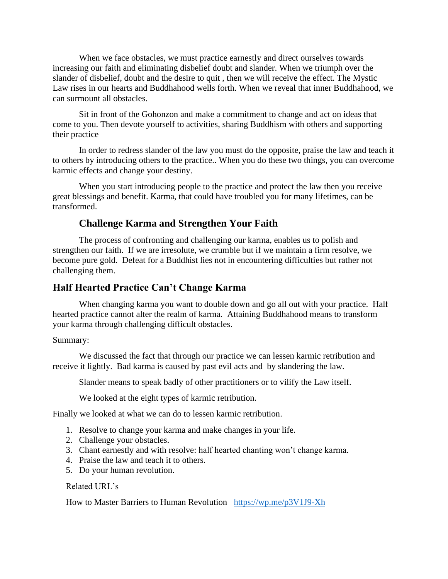When we face obstacles, we must practice earnestly and direct ourselves towards increasing our faith and eliminating disbelief doubt and slander. When we triumph over the slander of disbelief, doubt and the desire to quit , then we will receive the effect. The Mystic Law rises in our hearts and Buddhahood wells forth. When we reveal that inner Buddhahood, we can surmount all obstacles.

Sit in front of the Gohonzon and make a commitment to change and act on ideas that come to you. Then devote yourself to activities, sharing Buddhism with others and supporting their practice

In order to redress slander of the law you must do the opposite, praise the law and teach it to others by introducing others to the practice.. When you do these two things, you can overcome karmic effects and change your destiny.

When you start introducing people to the practice and protect the law then you receive great blessings and benefit. Karma, that could have troubled you for many lifetimes, can be transformed.

# **Challenge Karma and Strengthen Your Faith**

The process of confronting and challenging our karma, enables us to polish and strengthen our faith. If we are irresolute, we crumble but if we maintain a firm resolve, we become pure gold. Defeat for a Buddhist lies not in encountering difficulties but rather not challenging them.

#### **Half Hearted Practice Can't Change Karma**

When changing karma you want to double down and go all out with your practice. Half hearted practice cannot alter the realm of karma. Attaining Buddhahood means to transform your karma through challenging difficult obstacles.

#### Summary:

We discussed the fact that through our practice we can lessen karmic retribution and receive it lightly. Bad karma is caused by past evil acts and by slandering the law.

Slander means to speak badly of other practitioners or to vilify the Law itself.

We looked at the eight types of karmic retribution.

Finally we looked at what we can do to lessen karmic retribution.

- 1. Resolve to change your karma and make changes in your life.
- 2. Challenge your obstacles.
- 3. Chant earnestly and with resolve: half hearted chanting won't change karma.
- 4. Praise the law and teach it to others.
- 5. Do your human revolution.

#### Related URL's

How to Master Barriers to Human Revolution <https://wp.me/p3V1J9-Xh>